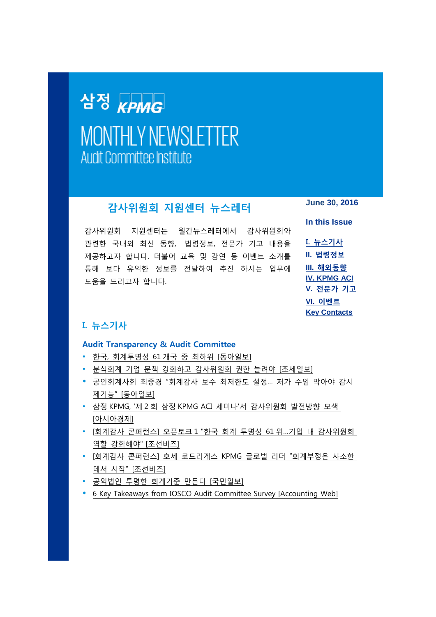# <span id="page-0-1"></span>삼정 KPMG **MONTHLY NEWSLETTER Audit Committee Institute**

# **감사위원회 지원센터 뉴스레터**

감사위원회 지원센터는 월간뉴스레터에서 감사위원회와 관련한 국내외 최신 동향, 법령정보, 전문가 기고 내용을 제공하고자 합니다. 더불어 교육 및 강연 등 이벤트 소개를 통해 보다 유익한 정보를 전달하여 추진 하시는 업무에 도움을 드리고자 합니다.

**June 30, 2016**

**In this Issue I. [뉴스기사](#page-0-0) II. [법령정보](#page-1-0) III. [해외동향](#page-2-0) [IV. KPMG ACI](#page-2-1) V. [전문가](#page-2-2) 기고 VI. [이벤트](#page-3-0) [Key Contacts](#page-5-0)**

## <span id="page-0-0"></span>**I. 뉴스기사**

## **Audit Transparency & Audit Committee**

- 한국, [회계투명성](http://news.donga.com/Main/3/all/20160602/78471592/1) 61 개국 중 최하위 [동아일보]
- 분식회계 기업 문책 강화하고 [감사위원회](http://www.joseilbo.com/news/htmls/2016/06/20160616296833.html) 권한 늘려야 [조세일보]
- [공인회계사회](http://news.donga.com/Main/3/7011/20160626/78872855/1) 최중경 "회계감사 보수 최저한도 설정… 저가 수임 막아야 감시 제기능" [[동아일보](http://news.donga.com/Main/3/7011/20160626/78872855/1)]
- 삼정 KPMG, '제 2 회 삼정 [KPMG ACI](http://view.asiae.co.kr/news/view.htm?idxno=2016062710383795449) 세미나'서 감사위원회 발전방향 모색 [[아시아경제](http://view.asiae.co.kr/news/view.htm?idxno=2016062710383795449)]
- [회계감사 콘퍼런스] 오픈토크 1 "한국 회계 투명성 61 위...기업 내 [감사위원회](http://biz.chosun.com/site/data/html_dir/2016/06/23/2016062301622.html?related_all) 역할 [강화해야](http://biz.chosun.com/site/data/html_dir/2016/06/23/2016062301622.html?related_all)" [조선비즈]
- [회계감사 콘퍼런스] 호세 로드리게스 KPMG 글로벌 리더 ["회계부정은](http://biz.chosun.com/site/data/html_dir/2016/06/23/2016062301612.html) 사소한 데서 시작" [[조선비즈](http://biz.chosun.com/site/data/html_dir/2016/06/23/2016062301612.html)]
- 공익법인 투명한 [회계기준](http://news.kmib.co.kr/article/view.asp?arcid=0923552427&code=11151100&cp=nv) 만든다 [국민일보]
- [6 Key Takeaways from IOSCO Audit Committee Survey \[Accounting Web\]](http://www.accountingweb.com/aa/auditing/6-key-takeaways-from-iosco-audit-committee-survey)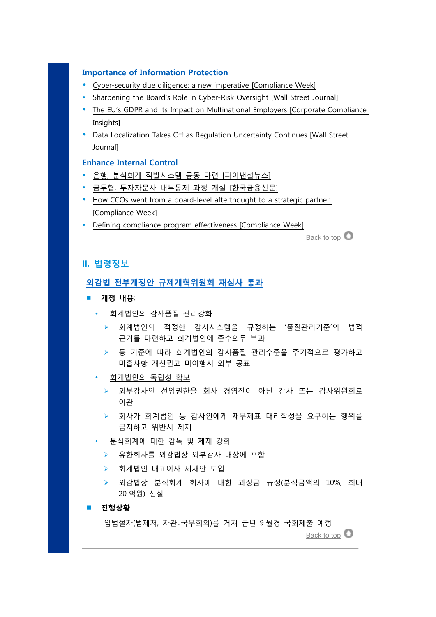#### **Importance of Information Protection**

- [Cyber-security due diligence: a new imperative](http://www.kr.kpmg.com/files/filedown.asp?fm=Cyber-security_due_diligence.pdf) [Compliance Week]
- [Sharpening the Board's Role in Cyber-Risk Oversight \[Wall Street Journal\]](http://www.kr.kpmg.com/files/filedown.asp?fm=Board_Role_in_Cyber-Risk_Oversight.pdf)
- [The EU's GDPR and its Impact on Multinational Employers \[Corporate Compliance](http://corporatecomplianceinsights.com/eus-gdpr-impact-multinationals/)  [Insights\]](http://corporatecomplianceinsights.com/eus-gdpr-impact-multinationals/)
- [Data Localization Takes Off as Regulation Uncertainty Continues \[Wall Street](http://www.kr.kpmg.com/files/filedown.asp?fm=Data_Localization_Takes_Off.pdf)  [Journal\]](http://www.kr.kpmg.com/files/filedown.asp?fm=Data_Localization_Takes_Off.pdf)

#### **Enhance Internal Control**

- 은행, 분식회계 적발시스템 공동 마련 [[파이낸셜뉴스](http://www.fnnews.com/news/201606261720111655)]
- 금투협, 투자자문사 내부통제 과정 개설 [[한국금융신문](http://www.fntimes.com/paper/view.aspx?num=156531)]
- [How CCOs went from a board-level afterthought to a strategic partner](http://www.kr.kpmg.com/files/filedown.asp?fm=How_CCOs_become_a_strategic_partner.pdf) [\[Compliance Week\]](http://www.kr.kpmg.com/files/filedown.asp?fm=How_CCOs_become_a_strategic_partner.pdf)
- [Defining compliance program effectiveness \[Compliance Week\]](http://www.kr.kpmg.com/files/filedown.asp?fm=Defining_compliance_program_effectiveness.pdf)

[Back to top](#page-0-1)

#### <span id="page-1-0"></span>**II. 법령정보**

#### **외감법 전부개정안 [규제개혁위원회](http://www.kr.kpmg.com/files/filedown.asp?fm=20160613_FSC_Audit_Transparency_Legal_Amendment.pdf) 재심사 통과**

- **개정 내용**:
	- 회계법인의 감사품질 관리강화
		- 회계법인의 적정한 감사시스템을 규정하는 '품질관리기준'의 법적 근거를 마련하고 회계법인에 준수의무 부과
		- ▶ 동 기준에 따라 회계법인의 감사품질 관리수준을 주기적으로 평가하고 미흡사항 개선권고 미이행시 외부 공표
	- 회계법인의 독립성 확보
		- 외부감사인 선임권한을 회사 경영진이 아닌 감사 또는 감사위원회로 이관
		- 회사가 회계법인 등 감사인에게 재무제표 대리작성을 요구하는 행위를 금지하고 위반시 제재
	- 분식회계에 대한 감독 및 제재 강화
		- 유한회사를 외감법상 외부감사 대상에 포함
		- 회계법인 대표이사 제재안 도입
		- 외감법상 분식회계 회사에 대한 과징금 규정(분식금액의 10%, 최대 20 억원) 신설
- **진행상황**:

입법절차(법제처, 차관․국무회의)를 거쳐 금년 9 월경 국회제출 예정

[Back to top](#page-0-1)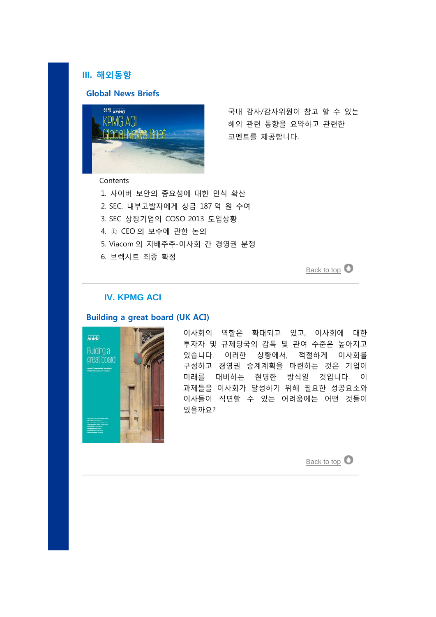## <span id="page-2-0"></span>**III. 해외동향**

## **Global News Briefs**



국내 감사/감사위원이 참고 할 수 있는 해외 관련 동향을 요약하고 관련한 코멘트를 제공합니다.

Contents

- 1. 사이버 보안의 중요성에 대한 인식 확산
- 2. SEC, 내부고발자에게 상금 187 억 원 수여
- 3. SEC 상장기업의 COSO 2013 도입상황
- 4. 美 CEO 의 보수에 관한 논의
- 5. Viacom 의 지배주주-이사회 간 경영권 분쟁
- 6. 브렉시트 최종 확정

[Back to top](#page-0-1)  $\bullet$ 

## <span id="page-2-1"></span>**IV. KPMG ACI**

## **Building a great board (UK ACI)**

<span id="page-2-2"></span>

이사회의 역할은 확대되고 있고, 이사회에 대한 투자자 및 규제당국의 감독 및 관여 수준은 높아지고 있습니다. 이러한 상황에서, 적절하게 이사회를 구성하고 경영권 승계계획을 마련하는 것은 기업이 미래를 대비하는 현명한 방식일 것입니다. 이 과제들을 이사회가 달성하기 위해 필요한 성공요소와 이사들이 직면할 수 있는 어려움에는 어떤 것들이 있을까요?

[Back to top](#page-0-1)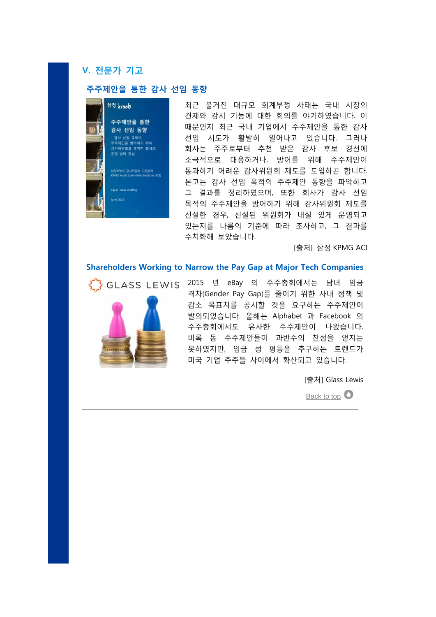## **V. 전문가 기고**

## **주주제안을 통한 감사 선임 동향**



최근 불거진 대규모 회계부정 사태는 국내 시장의 견제와 감시 기능에 대한 회의를 야기하였습니다. 이 때문인지 최근 국내 기업에서 주주제안을 통한 감사 선임 시도가 활발히 일어나고 있습니다. 그러나 회사는 주주로부터 추천 받은 감사 후보 경선에 소극적으로 대응하거나, 방어를 위해 주주제안이 통과하기 어려운 감사위원회 제도를 도입하곤 합니다. 본고는 감사 선임 목적의 주주제안 동향을 파악하고 그 결과를 정리하였으며, 또한 회사가 감사 선임 목적의 주주제안을 방어하기 위해 감사위원회 제도를 신설한 경우, 신설된 위원회가 내실 있게 운영되고 있는지를 나름의 기준에 따라 조사하고, 그 결과를 수치화해 보았습니다.

[출처] 삼정 KPMG ACI

#### **Shareholders Working to Narrow the Pay Gap at Major Tech Companies**



<span id="page-3-0"></span>

격차(Gender Pay Gap)를 줄이기 위한 사내 정책 및 감소 목표치를 공시할 것을 요구하는 주주제안이 발의되었습니다. 올해는 Alphabet 과 Facebook 의 주주총회에서도 유사한 주주제안이 나왔습니다. 비록 동 주주제안들이 과반수의 찬성을 얻지는 못하였지만, 임금 성 평등을 추구하는 트렌드가 미국 기업 주주들 사이에서 확산되고 있습니다.

[출처] Glass Lewis

[Back to top](#page-0-1)  $\bullet$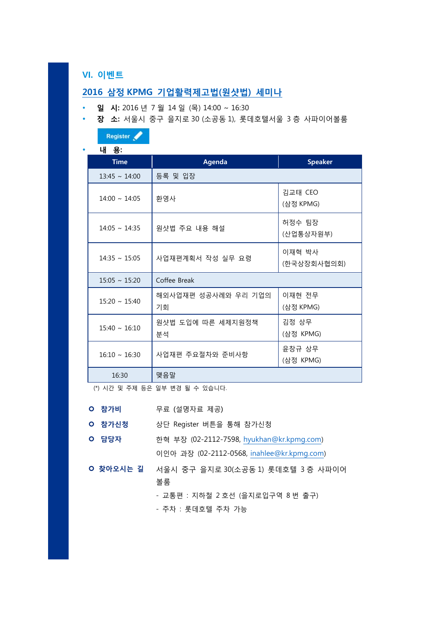## **VI. 이벤트**

## **2016 삼정 [KPMG](http://www.hmcok.co.kr/business/gamsa_Program.asp?CODE=CD500) 기업활력제고법(원샷법) 세미나**

- **일 시:** 2016 년 7 월 14 일 (목) 14:00 ~ 16:30
- **장 소:** 서울시 중구 을지로 30 (소공동 1), 롯데호텔서울 3 층 사파이어볼룸

|  | Register / |  |
|--|------------|--|
|  |            |  |

**내 용:**

| ыı<br>ਠ∙           |                           |                       |
|--------------------|---------------------------|-----------------------|
| <b>Time</b>        | <b>Agenda</b>             | <b>Speaker</b>        |
| $13:45 \sim 14:00$ | 등록 및 입장                   |                       |
| $14:00 \sim 14:05$ | 환영사                       | 김교태 CEO<br>(삼정 KPMG)  |
| $14:05 \sim 14:35$ | 원샷법 주요 내용 해설              | 허정수 팀장<br>(산업통상자원부)   |
| $14:35 \sim 15:05$ | 사업재편계획서 작성 실무 요령          | 이재혁 박사<br>(한국상장회사협의회) |
| $15:05 \sim 15:20$ | Coffee Break              |                       |
| $15:20 \sim 15:40$ | 해외사업재편 성공사례와 우리 기업의<br>기회 | 이재현 전무<br>(삼정 KPMG)   |
| $15:40 \sim 16:10$ | 원샷법 도입에 따른 세제지원정책<br>분석   | 김정 상무<br>(삼정 KPMG)    |
| $16:10 \sim 16:30$ | 사업재편 주요절차와 준비사항           | 윤창규 상무<br>(삼정 KPMG)   |
| 16:30              | 맺음말                       |                       |

(\*) 시간 및 주제 등은 일부 변경 될 수 있습니다.

- **참가비** 무료 (설명자료 제공)
- **참가신청** 상단 Register 버튼을 통해 참가신청
- **담당자** 한혁 부장 (02-2112-7598, [hyukhan@kr.kpmg.com\)](mailto:hyukhan@kr.kpmg.com) 이인아 과장 (02-2112-0568, [inahlee@kr.kpmg.com\)](mailto:inahlee@kr.kpmg.com)
- **찾아오시는 길** 서울시 중구 을지로 30(소공동 1) 롯데호텔 3 층 사파이어 볼룸

- 교통편 : 지하철 2 호선 (을지로입구역 8 번 출구)

- 주차 : 롯데호텔 주차 가능